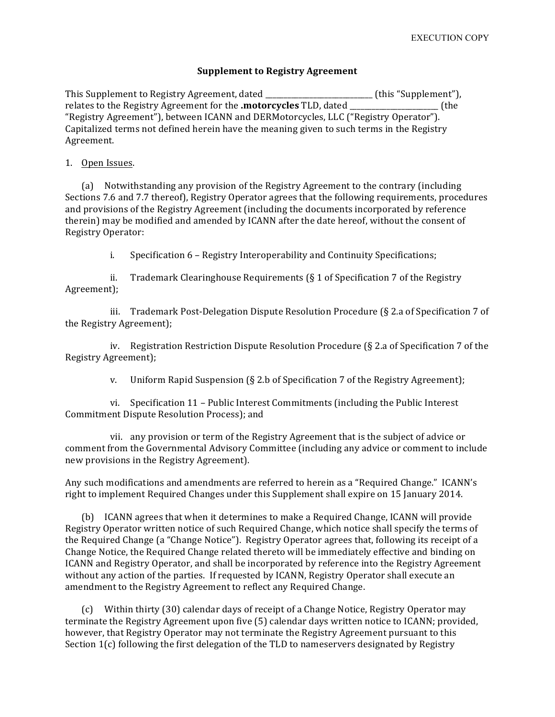## **Supplement to Registry Agreement**

This Supplement to Registry Agreement, dated \_\_\_\_\_\_\_\_\_\_\_\_\_\_\_\_\_\_\_\_\_\_\_\_\_\_\_\_(this "Supplement"), relates to the Registry Agreement for the **.motorcycles** TLD, dated **Example 20** (the "Registry Agreement"), between ICANN and DERMotorcycles, LLC ("Registry Operator"). Capitalized terms not defined herein have the meaning given to such terms in the Registry Agreement. 

## 1. Open Issues.

(a) Notwithstanding any provision of the Registry Agreement to the contrary (including Sections 7.6 and 7.7 thereof), Registry Operator agrees that the following requirements, procedures and provisions of the Registry Agreement (including the documents incorporated by reference therein) may be modified and amended by ICANN after the date hereof, without the consent of Registry Operator:

i. Specification 6 – Registry Interoperability and Continuity Specifications;

ii. Trademark Clearinghouse Requirements  $(\xi 1)$  of Specification 7 of the Registry Agreement);

iii. Trademark Post-Delegation Dispute Resolution Procedure  $(S$  2.a of Specification 7 of the Registry Agreement);

iv. Registration Restriction Dispute Resolution Procedure  $(\S$  2.a of Specification 7 of the Registry Agreement);

v. Uniform Rapid Suspension  $(\xi 2.b)$  of Specification 7 of the Registry Agreement);

vi. Specification 11 - Public Interest Commitments (including the Public Interest Commitment Dispute Resolution Process); and

vii. any provision or term of the Registry Agreement that is the subject of advice or comment from the Governmental Advisory Committee (including any advice or comment to include new provisions in the Registry Agreement).

Any such modifications and amendments are referred to herein as a "Required Change." ICANN's right to implement Required Changes under this Supplement shall expire on 15 January 2014.

(b) ICANN agrees that when it determines to make a Required Change, ICANN will provide Registry Operator written notice of such Required Change, which notice shall specify the terms of the Required Change (a "Change Notice"). Registry Operator agrees that, following its receipt of a Change Notice, the Required Change related thereto will be immediately effective and binding on ICANN and Registry Operator, and shall be incorporated by reference into the Registry Agreement without any action of the parties. If requested by ICANN, Registry Operator shall execute an amendment to the Registry Agreement to reflect any Required Change.

(c) Within thirty (30) calendar days of receipt of a Change Notice, Registry Operator may terminate the Registry Agreement upon five (5) calendar days written notice to ICANN; provided, however, that Registry Operator may not terminate the Registry Agreement pursuant to this Section  $1(c)$  following the first delegation of the TLD to nameservers designated by Registry